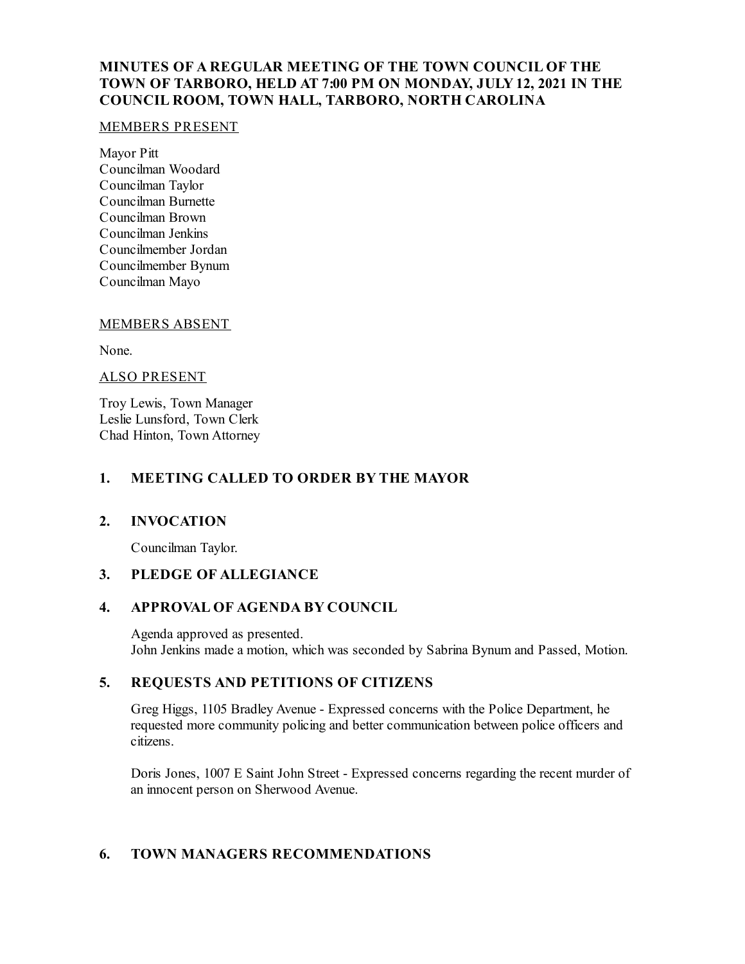# **MINUTES OF A REGULAR MEETING OF THE TOWN COUNCIL OF THE TOWN OF TARBORO, HELD AT 7:00 PM ON MONDAY, JULY12, 2021 IN THE COUNCIL ROOM, TOWN HALL, TARBORO, NORTH CAROLINA**

#### MEMBERS PRESENT

Mayor Pitt Councilman Woodard Councilman Taylor Councilman Burnette Councilman Brown Councilman Jenkins Councilmember Jordan Councilmember Bynum Councilman Mayo

#### MEMBERS ABSENT

None.

#### ALSO PRESENT

Troy Lewis, Town Manager Leslie Lunsford, Town Clerk Chad Hinton, Town Attorney

#### **1. MEETING CALLED TO ORDER BY THE MAYOR**

## **2. INVOCATION**

Councilman Taylor.

# **3. PLEDGE OF ALLEGIANCE**

## **4. APPROVAL OF AGENDA BY COUNCIL**

Agenda approved as presented. John Jenkins made a motion, which was seconded by Sabrina Bynum and Passed, Motion.

# **5. REQUESTS AND PETITIONS OF CITIZENS**

Greg Higgs, 1105 Bradley Avenue - Expressed concerns with the Police Department, he requested more community policing and better communication between police officers and citizens.

Doris Jones, 1007 E Saint John Street - Expressed concerns regarding the recent murder of an innocent person on Sherwood Avenue.

## **6. TOWN MANAGERS RECOMMENDATIONS**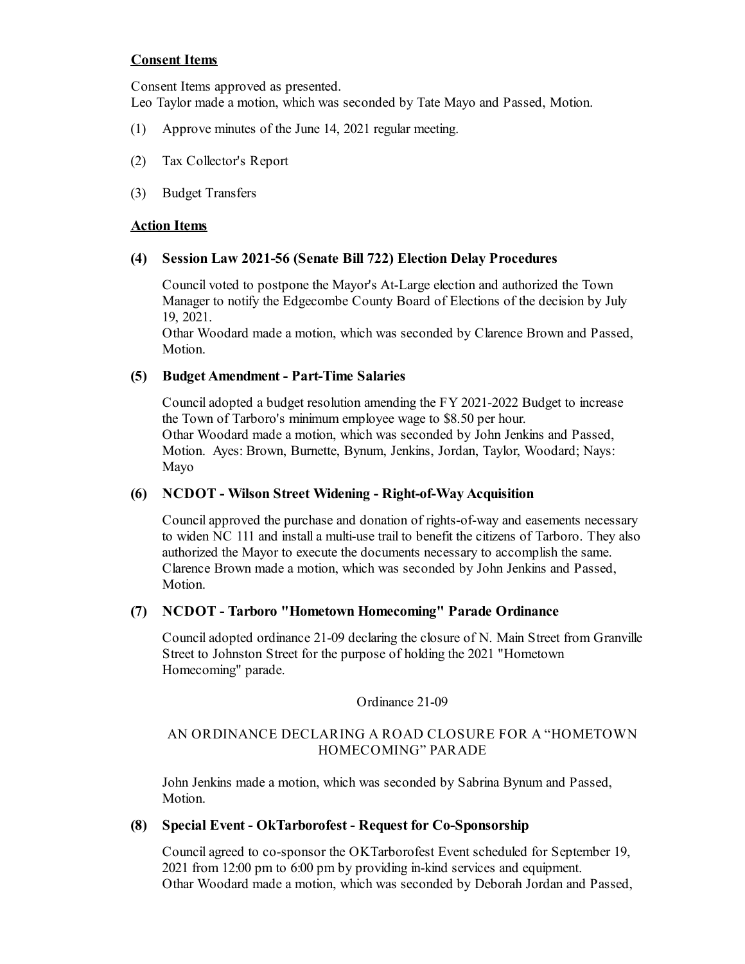## **Consent Items**

Consent Items approved as presented. Leo Taylor made a motion, which was seconded by Tate Mayo and Passed, Motion.

- (1) Approve minutes of the June 14, 2021 regular meeting.
- (2) Tax Collector's Report
- (3) Budget Transfers

#### **Action Items**

#### **(4) Session Law 2021-56 (Senate Bill 722) Election Delay Procedures**

Council voted to postpone the Mayor's At-Large election and authorized the Town Manager to notify the Edgecombe County Board of Elections of the decision by July 19, 2021.

Othar Woodard made a motion, which was seconded by Clarence Brown and Passed, Motion.

## **(5) Budget Amendment - Part-Time Salaries**

Counciladopted a budget resolution amending the FY 2021-2022 Budget to increase the Town of Tarboro's minimum employee wage to \$8.50 per hour. Othar Woodard made a motion, which was seconded by John Jenkins and Passed, Motion. Ayes: Brown, Burnette, Bynum, Jenkins, Jordan, Taylor, Woodard; Nays: Mayo

## **(6) NCDOT - Wilson Street Widening - Right-of-WayAcquisition**

Councilapproved the purchase and donation of rights-of-way and easements necessary to widen NC 111 and installa multi-use trail to benefit the citizens of Tarboro. They also authorized the Mayor to execute the documents necessary to accomplish the same. Clarence Brown made a motion, which was seconded by John Jenkins and Passed, Motion.

## **(7) NCDOT - Tarboro "Hometown Homecoming" Parade Ordinance**

Counciladopted ordinance 21-09 declaring the closure of N. Main Street from Granville Street to Johnston Street for the purpose of holding the 2021 "Hometown Homecoming" parade.

#### Ordinance 21-09

## AN ORDINANCE DECLARING A ROAD CLOSURE FOR A "HOMETOWN HOMECOMING" PARADE

John Jenkins made a motion, which was seconded by Sabrina Bynum and Passed, Motion.

#### **(8) Special Event - OkTarborofest - Request for Co-Sponsorship**

Councilagreed to co-sponsor the OKTarborofest Event scheduled for September 19, 2021 from 12:00 pm to 6:00 pm by providing in-kind services and equipment. Othar Woodard made a motion, which was seconded by Deborah Jordan and Passed,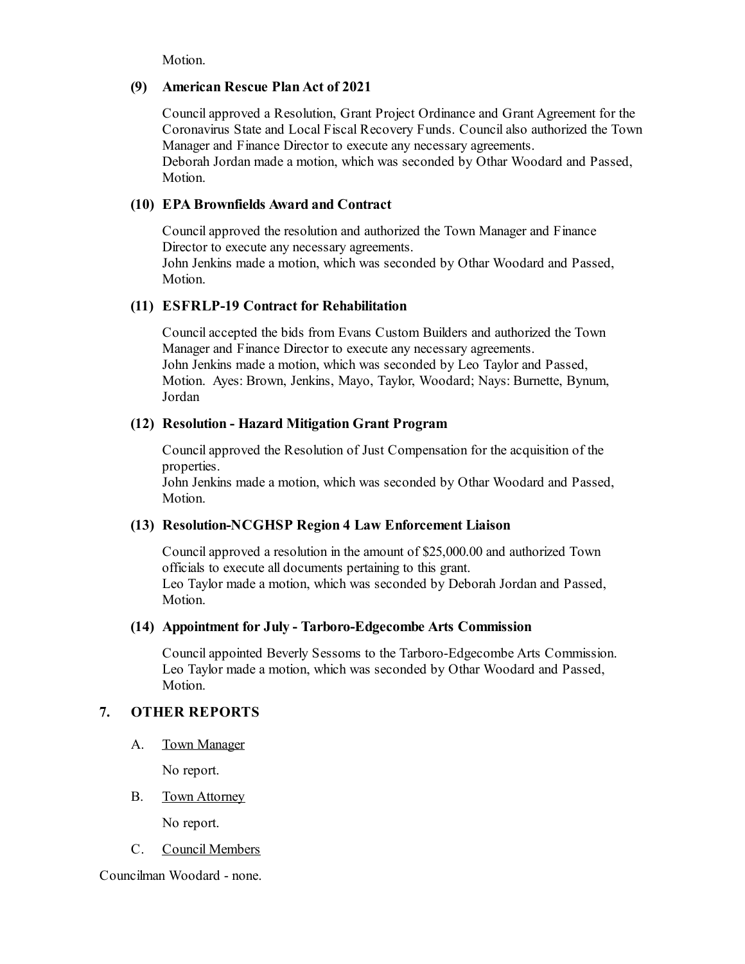Motion.

#### **(9) American Rescue PlanAct of 2021**

Councilapproved a Resolution, Grant Project Ordinance and Grant Agreement for the Coronavirus State and Local Fiscal Recovery Funds. Councilalso authorized the Town Manager and Finance Director to execute any necessary agreements. Deborah Jordan made a motion, which was seconded by Othar Woodard and Passed, Motion.

## **(10) EPA Brownfields Award and Contract**

Councilapproved the resolution and authorized the Town Manager and Finance Director to execute any necessary agreements. John Jenkins made a motion, which was seconded by Othar Woodard and Passed,

Motion.

## **(11) ESFRLP-19 Contract for Rehabilitation**

Councilaccepted the bids from Evans Custom Builders and authorized the Town Manager and Finance Director to execute any necessary agreements. John Jenkins made a motion, which was seconded by Leo Taylor and Passed, Motion. Ayes: Brown, Jenkins, Mayo, Taylor, Woodard; Nays: Burnette, Bynum, Jordan

#### **(12) Resolution - Hazard Mitigation Grant Program**

Councilapproved the Resolution of Just Compensation for the acquisition of the properties.

John Jenkins made a motion, which was seconded by Othar Woodard and Passed, Motion.

## **(13) Resolution-NCGHSP Region 4 Law Enforcement Liaison**

Councilapproved a resolution in the amount of \$25,000.00 and authorized Town officials to execute all documents pertaining to this grant. Leo Taylor made a motion, which was seconded by Deborah Jordan and Passed, Motion.

#### **(14) Appointment for July - Tarboro-Edgecombe Arts Commission**

Councilappointed Beverly Sessoms to the Tarboro-Edgecombe Arts Commission. Leo Taylor made a motion, which was seconded by Othar Woodard and Passed, Motion.

# **7. OTHER REPORTS**

A. Town Manager

No report.

B. Town Attorney

No report.

C. Council Members

Councilman Woodard - none.